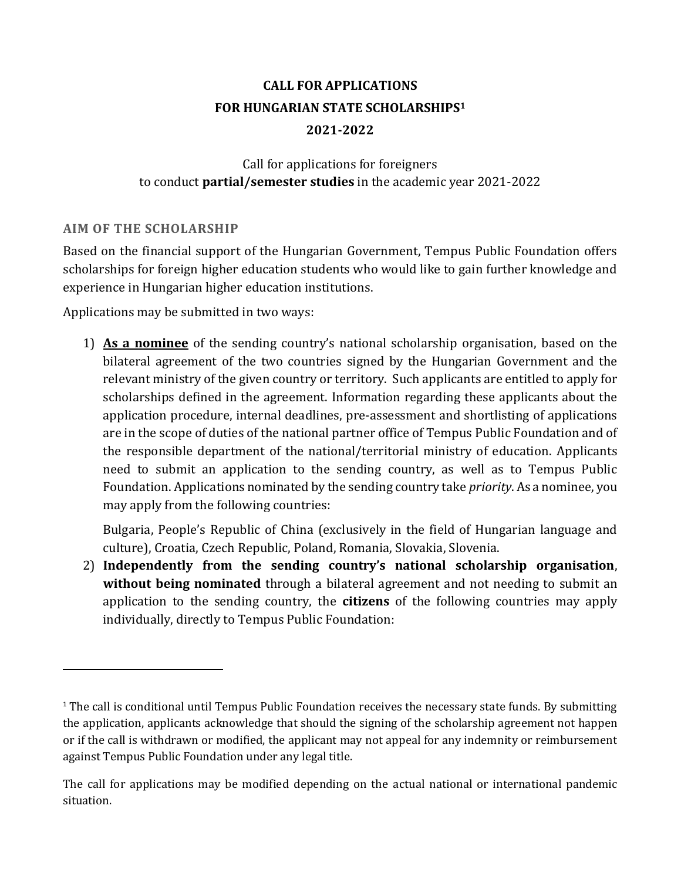# **CALL FOR APPLICATIONS FOR HUNGARIAN STATE SCHOLARSHIPS<sup>1</sup> 2021-2022**

# Call for applications for foreigners to conduct **partial/semester studies** in the academic year 2021-2022

# **AIM OF THE SCHOLARSHIP**

 $\overline{a}$ 

Based on the financial support of the Hungarian Government, Tempus Public Foundation offers scholarships for foreign higher education students who would like to gain further knowledge and experience in Hungarian higher education institutions.

Applications may be submitted in two ways:

1) **As a nominee** of the sending country's national scholarship organisation, based on the bilateral agreement of the two countries signed by the Hungarian Government and the relevant ministry of the given country or territory. Such applicants are entitled to apply for scholarships defined in the agreement. Information regarding these applicants about the application procedure, internal deadlines, pre-assessment and shortlisting of applications are in the scope of duties of the national partner office of Tempus Public Foundation and of the responsible department of the national/territorial ministry of education. Applicants need to submit an application to the sending country, as well as to Tempus Public Foundation. Applications nominated by the sending country take *priority*. As a nominee, you may apply from the following countries:

Bulgaria, People's Republic of China (exclusively in the field of Hungarian language and culture), Croatia, Czech Republic, Poland, Romania, Slovakia, Slovenia.

2) **Independently from the sending country's national scholarship organisation**, **without being nominated** through a bilateral agreement and not needing to submit an application to the sending country, the **citizens** of the following countries may apply individually, directly to Tempus Public Foundation:

 $1$  The call is conditional until Tempus Public Foundation receives the necessary state funds. By submitting the application, applicants acknowledge that should the signing of the scholarship agreement not happen or if the call is withdrawn or modified, the applicant may not appeal for any indemnity or reimbursement against Tempus Public Foundation under any legal title.

The call for applications may be modified depending on the actual national or international pandemic situation.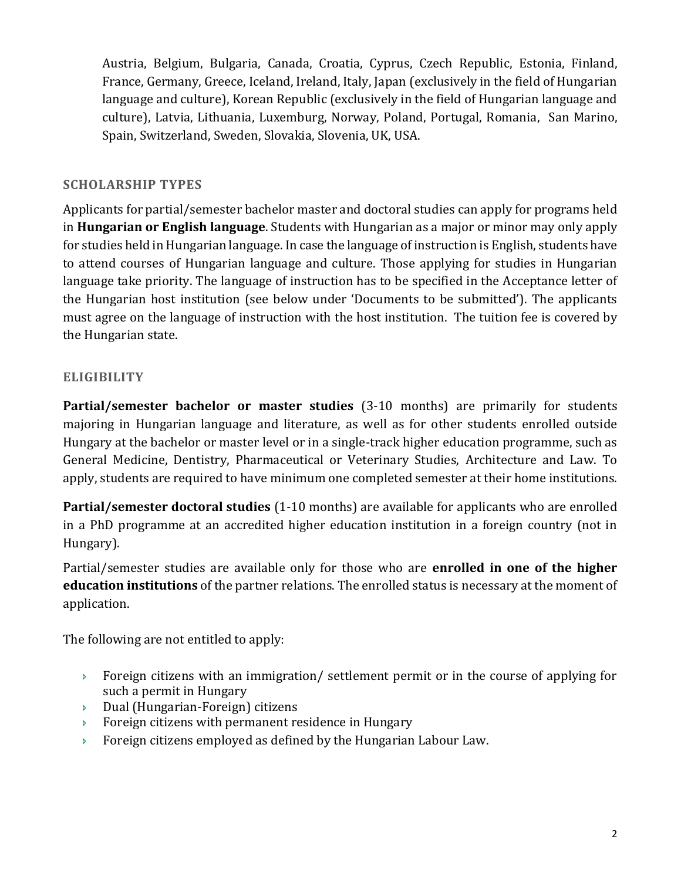Austria, Belgium, Bulgaria, Canada, Croatia, Cyprus, Czech Republic, Estonia, Finland, France, Germany, Greece, Iceland, Ireland, Italy, Japan (exclusively in the field of Hungarian language and culture), Korean Republic (exclusively in the field of Hungarian language and culture), Latvia, Lithuania, Luxemburg, Norway, Poland, Portugal, Romania, San Marino, Spain, Switzerland, Sweden, Slovakia, Slovenia, UK, USA.

# **SCHOLARSHIP TYPES**

Applicants for partial/semester bachelor master and doctoral studies can apply for programs held in **Hungarian or English language**. Students with Hungarian as a major or minor may only apply for studies held in Hungarian language. In case the language of instruction is English, students have to attend courses of Hungarian language and culture. Those applying for studies in Hungarian language take priority. The language of instruction has to be specified in the Acceptance letter of the Hungarian host institution (see below under 'Documents to be submitted'). The applicants must agree on the language of instruction with the host institution. The tuition fee is covered by the Hungarian state.

# **ELIGIBILITY**

**Partial/semester bachelor or master studies** (3-10 months) are primarily for students majoring in Hungarian language and literature, as well as for other students enrolled outside Hungary at the bachelor or master level or in a single-track higher education programme, such as General Medicine, Dentistry, Pharmaceutical or Veterinary Studies, Architecture and Law. To apply, students are required to have minimum one completed semester at their home institutions.

**Partial/semester doctoral studies** (1-10 months) are available for applicants who are enrolled in a PhD programme at an accredited higher education institution in a foreign country (not in Hungary).

Partial/semester studies are available only for those who are **enrolled in one of the higher education institutions** of the partner relations. The enrolled status is necessary at the moment of application.

The following are not entitled to apply:

- Foreign citizens with an immigration/ settlement permit or in the course of applying for such a permit in Hungary
- Dual (Hungarian-Foreign) citizens
- Foreign citizens with permanent residence in Hungary
- **Foreign citizens employed as defined by the Hungarian Labour Law.**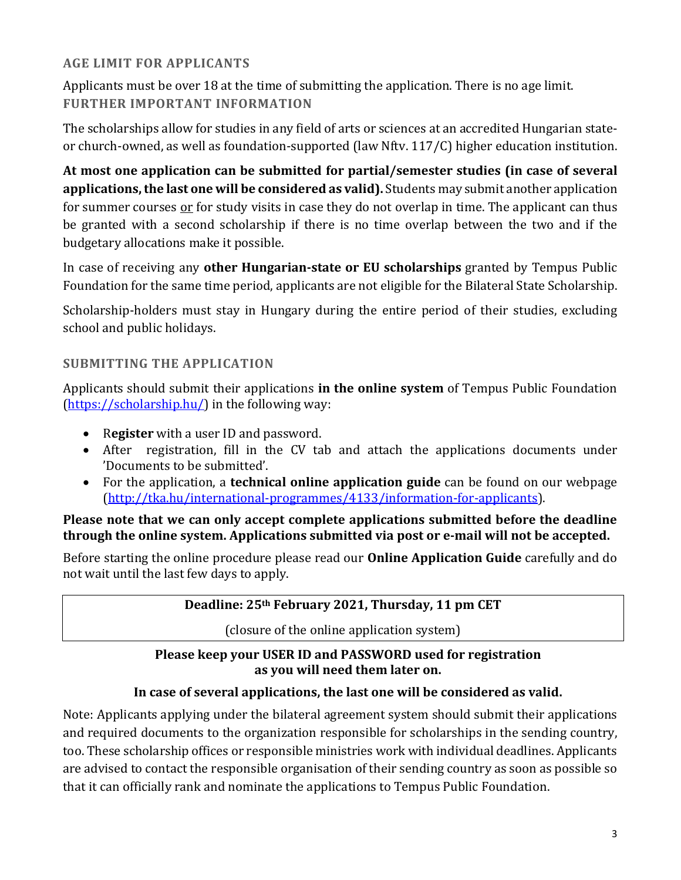# **AGE LIMIT FOR APPLICANTS**

Applicants must be over 18 at the time of submitting the application. There is no age limit. **FURTHER IMPORTANT INFORMATION**

The scholarships allow for studies in any field of arts or sciences at an accredited Hungarian stateor church-owned, as well as foundation-supported (law Nftv. 117/C) higher education institution.

**At most one application can be submitted for partial/semester studies (in case of several applications, the last one will be considered as valid).** Students may submit another application for summer courses or for study visits in case they do not overlap in time. The applicant can thus be granted with a second scholarship if there is no time overlap between the two and if the budgetary allocations make it possible.

In case of receiving any **other Hungarian-state or EU scholarships** granted by Tempus Public Foundation for the same time period, applicants are not eligible for the Bilateral State Scholarship.

Scholarship-holders must stay in Hungary during the entire period of their studies, excluding school and public holidays.

# **SUBMITTING THE APPLICATION**

Applicants should submit their applications **in the online system** of Tempus Public Foundation [\(https://scholarship.hu/\)](https://scholarship.hu/) in the following way:

- R**egister** with a user ID and password.
- After registration, fill in the CV tab and attach the applications documents under 'Documents to be submitted'.
- For the application, a **technical online application guide** can be found on our webpage [\(http://tka.hu/international-programmes/4133/information-for-applicants\)](http://tka.hu/international-programmes/4133/information-for-applicants).

# **Please note that we can only accept complete applications submitted before the deadline through the online system. Applications submitted via post or e-mail will not be accepted.**

Before starting the online procedure please read our **Online Application Guide** carefully and do not wait until the last few days to apply.

# **Deadline: 25th February 2021, Thursday, 11 pm CET**

(closure of the online application system)

# **Please keep your USER ID and PASSWORD used for registration as you will need them later on.**

# **In case of several applications, the last one will be considered as valid.**

Note: Applicants applying under the bilateral agreement system should submit their applications and required documents to the organization responsible for scholarships in the sending country, too. These scholarship offices or responsible ministries work with individual deadlines. Applicants are advised to contact the responsible organisation of their sending country as soon as possible so that it can officially rank and nominate the applications to Tempus Public Foundation.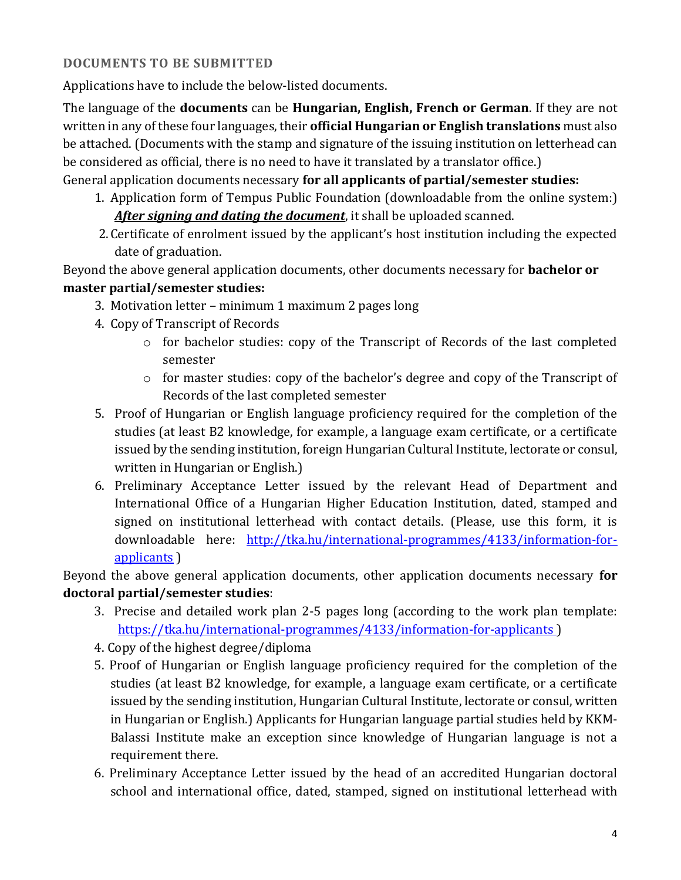# **DOCUMENTS TO BE SUBMITTED**

Applications have to include the below-listed documents.

The language of the **documents** can be **Hungarian, English, French or German**. If they are not written in any of these four languages, their **official Hungarian or English translations** must also be attached. (Documents with the stamp and signature of the issuing institution on letterhead can be considered as official, there is no need to have it translated by a translator office.)

# General application documents necessary **for all applicants of partial/semester studies:**

- 1. Application form of Tempus Public Foundation (downloadable from the online system:) *After signing and dating the document*, it shall be uploaded scanned.
- 2.Certificate of enrolment issued by the applicant's host institution including the expected date of graduation.

Beyond the above general application documents, other documents necessary for **bachelor or** 

# **master partial/semester studies:**

- 3. Motivation letter minimum 1 maximum 2 pages long
- 4. Copy of Transcript of Records
	- o for bachelor studies: copy of the Transcript of Records of the last completed semester
	- o for master studies: copy of the bachelor's degree and copy of the Transcript of Records of the last completed semester
- 5. Proof of Hungarian or English language proficiency required for the completion of the studies (at least B2 knowledge, for example, a language exam certificate, or a certificate issued by the sending institution, foreign Hungarian Cultural Institute, lectorate or consul, written in Hungarian or English.)
- 6. Preliminary Acceptance Letter issued by the relevant Head of Department and International Office of a Hungarian Higher Education Institution, dated, stamped and signed on institutional letterhead with contact details. (Please, use this form, it is downloadable here: [http://tka.hu/international-programmes/4133/information-for](http://tka.hu/international-programmes/4133/information-for-applicants)[applicants](http://tka.hu/international-programmes/4133/information-for-applicants) )

Beyond the above general application documents, other application documents necessary **for doctoral partial/semester studies**:

- 3. Precise and detailed work plan 2-5 pages long (according to the work plan template: <https://tka.hu/international-programmes/4133/information-for-applicants> )
- 4. Copy of the highest degree/diploma
- 5. Proof of Hungarian or English language proficiency required for the completion of the studies (at least B2 knowledge, for example, a language exam certificate, or a certificate issued by the sending institution, Hungarian Cultural Institute, lectorate or consul, written in Hungarian or English.) Applicants for Hungarian language partial studies held by KKM-Balassi Institute make an exception since knowledge of Hungarian language is not a requirement there.
- 6. Preliminary Acceptance Letter issued by the head of an accredited Hungarian doctoral school and international office, dated, stamped, signed on institutional letterhead with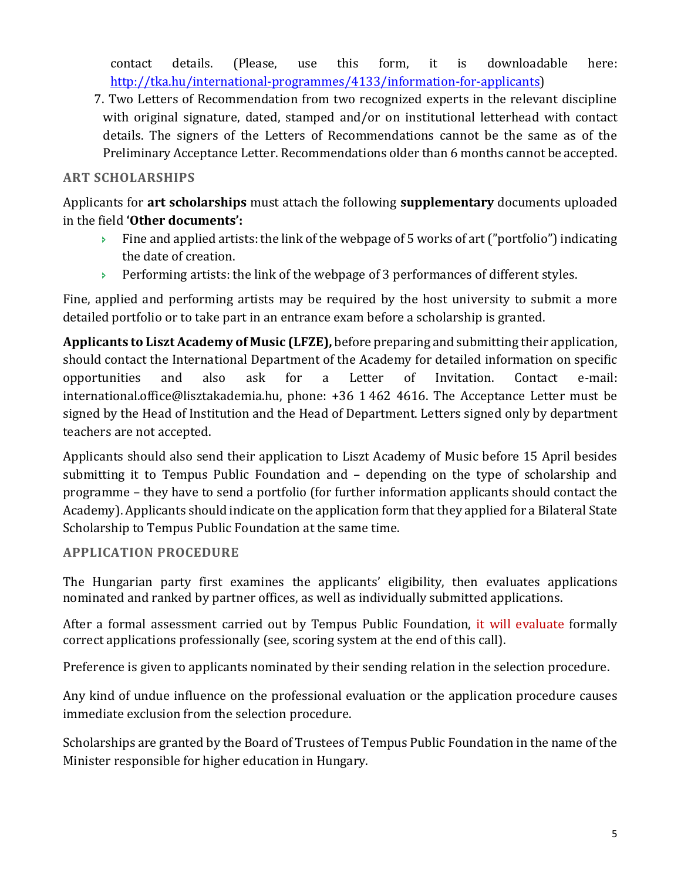contact details. (Please, use this form, it is downloadable here: [http://tka.hu/international-programmes/4133/information-for-applicants\)](http://tka.hu/international-programmes/4133/information-for-applicants)

7. Two Letters of Recommendation from two recognized experts in the relevant discipline with original signature, dated, stamped and/or on institutional letterhead with contact details. The signers of the Letters of Recommendations cannot be the same as of the Preliminary Acceptance Letter. Recommendations older than 6 months cannot be accepted.

# **ART SCHOLARSHIPS**

Applicants for **art scholarships** must attach the following **supplementary** documents uploaded in the field **'Other documents':** 

- $\rightarrow$  Fine and applied artists: the link of the webpage of 5 works of art ("portfolio") indicating the date of creation.
- Performing artists: the link of the webpage of 3 performances of different styles.

Fine, applied and performing artists may be required by the host university to submit a more detailed portfolio or to take part in an entrance exam before a scholarship is granted.

**Applicants to Liszt Academy of Music (LFZE),** before preparing and submitting their application, should contact the International Department of the Academy for detailed information on specific opportunities and also ask for a Letter of Invitation. Contact e-mail: [international.office@lisztakademia.hu,](mailto:international.office@lisztakademia.hu) phone: +36 1 462 4616. The Acceptance Letter must be signed by the Head of Institution and the Head of Department. Letters signed only by department teachers are not accepted.

Applicants should also send their application to Liszt Academy of Music before 15 April besides submitting it to Tempus Public Foundation and – depending on the type of scholarship and programme – they have to send a portfolio (for further information applicants should contact the Academy). Applicants should indicate on the application form that they applied for a Bilateral State Scholarship to Tempus Public Foundation at the same time.

# **APPLICATION PROCEDURE**

The Hungarian party first examines the applicants' eligibility, then evaluates applications nominated and ranked by partner offices, as well as individually submitted applications.

After a formal assessment carried out by Tempus Public Foundation, it will evaluate formally correct applications professionally (see, scoring system at the end of this call).

Preference is given to applicants nominated by their sending relation in the selection procedure.

Any kind of undue influence on the professional evaluation or the application procedure causes immediate exclusion from the selection procedure.

Scholarships are granted by the Board of Trustees of Tempus Public Foundation in the name of the Minister responsible for higher education in Hungary.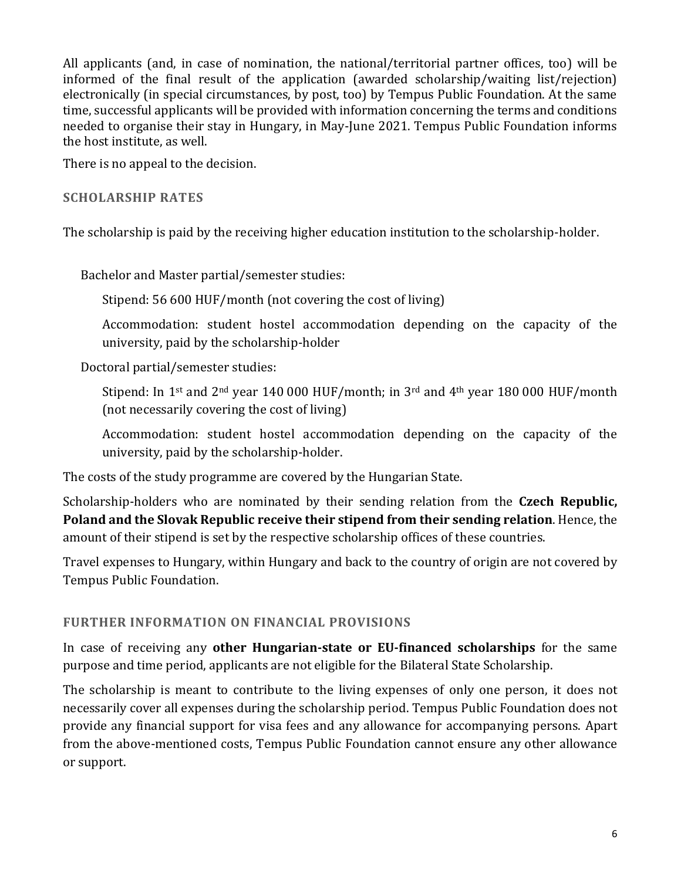All applicants (and, in case of nomination, the national/territorial partner offices, too) will be informed of the final result of the application (awarded scholarship/waiting list/rejection) electronically (in special circumstances, by post, too) by Tempus Public Foundation. At the same time, successful applicants will be provided with information concerning the terms and conditions needed to organise their stay in Hungary, in May-June 2021. Tempus Public Foundation informs the host institute, as well.

There is no appeal to the decision.

#### **SCHOLARSHIP RATES**

The scholarship is paid by the receiving higher education institution to the scholarship-holder.

Bachelor and Master partial/semester studies:

Stipend: 56 600 HUF/month (not covering the cost of living)

Accommodation: student hostel accommodation depending on the capacity of the university, paid by the scholarship-holder

Doctoral partial/semester studies:

Stipend: In 1<sup>st</sup> and 2<sup>nd</sup> year 140 000 HUF/month; in 3<sup>rd</sup> and 4<sup>th</sup> year 180 000 HUF/month (not necessarily covering the cost of living)

Accommodation: student hostel accommodation depending on the capacity of the university, paid by the scholarship-holder.

The costs of the study programme are covered by the Hungarian State.

Scholarship-holders who are nominated by their sending relation from the **Czech Republic, Poland and the Slovak Republic receive their stipend from their sending relation**. Hence, the amount of their stipend is set by the respective scholarship offices of these countries.

Travel expenses to Hungary, within Hungary and back to the country of origin are not covered by Tempus Public Foundation.

# **FURTHER INFORMATION ON FINANCIAL PROVISIONS**

In case of receiving any **other Hungarian-state or EU-financed scholarships** for the same purpose and time period, applicants are not eligible for the Bilateral State Scholarship.

The scholarship is meant to contribute to the living expenses of only one person, it does not necessarily cover all expenses during the scholarship period. Tempus Public Foundation does not provide any financial support for visa fees and any allowance for accompanying persons. Apart from the above-mentioned costs, Tempus Public Foundation cannot ensure any other allowance or support.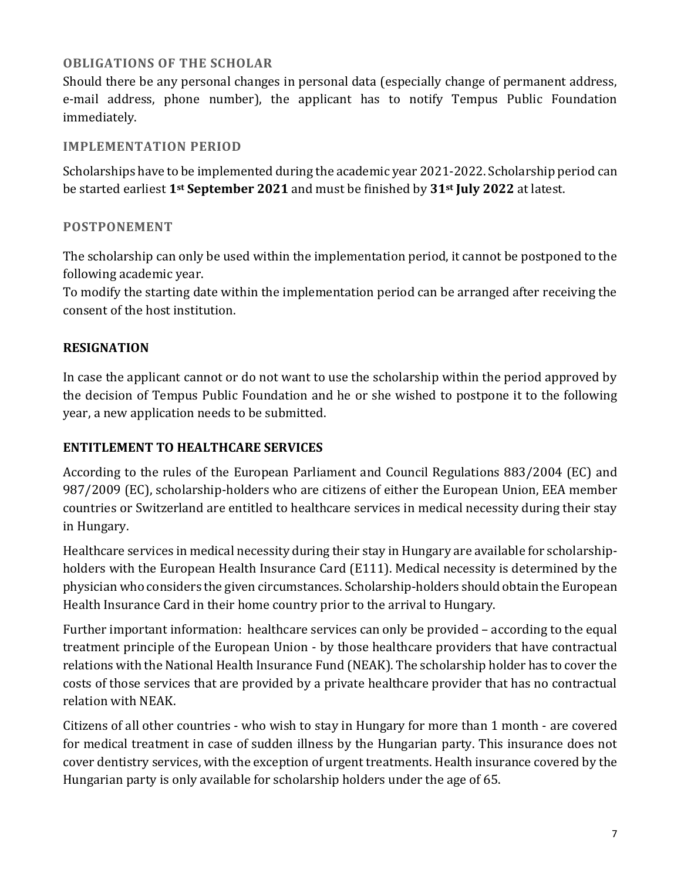# **OBLIGATIONS OF THE SCHOLAR**

Should there be any personal changes in personal data (especially change of permanent address, e-mail address, phone number), the applicant has to notify Tempus Public Foundation immediately.

#### **IMPLEMENTATION PERIOD**

Scholarships have to be implemented during the academic year 2021-2022. Scholarship period can be started earliest **1st September 2021** and must be finished by **31st July 2022** at latest.

#### **POSTPONEMENT**

The scholarship can only be used within the implementation period, it cannot be postponed to the following academic year.

To modify the starting date within the implementation period can be arranged after receiving the consent of the host institution.

# **RESIGNATION**

In case the applicant cannot or do not want to use the scholarship within the period approved by the decision of Tempus Public Foundation and he or she wished to postpone it to the following year, a new application needs to be submitted.

### **ENTITLEMENT TO HEALTHCARE SERVICES**

According to the rules of the European Parliament and Council Regulations 883/2004 (EC) and 987/2009 (EC), scholarship-holders who are citizens of either the European Union, EEA member countries or Switzerland are entitled to healthcare services in medical necessity during their stay in Hungary.

Healthcare services in medical necessity during their stay in Hungary are available for scholarshipholders with the European Health Insurance Card (E111). Medical necessity is determined by the physician who considers the given circumstances. Scholarship-holders should obtain the European Health Insurance Card in their home country prior to the arrival to Hungary.

Further important information: healthcare services can only be provided – according to the equal treatment principle of the European Union - by those healthcare providers that have contractual relations with the National Health Insurance Fund (NEAK). The scholarship holder has to cover the costs of those services that are provided by a private healthcare provider that has no contractual relation with NEAK.

Citizens of all other countries - who wish to stay in Hungary for more than 1 month - are covered for medical treatment in case of sudden illness by the Hungarian party. This insurance does not cover dentistry services, with the exception of urgent treatments. Health insurance covered by the Hungarian party is only available for scholarship holders under the age of 65.